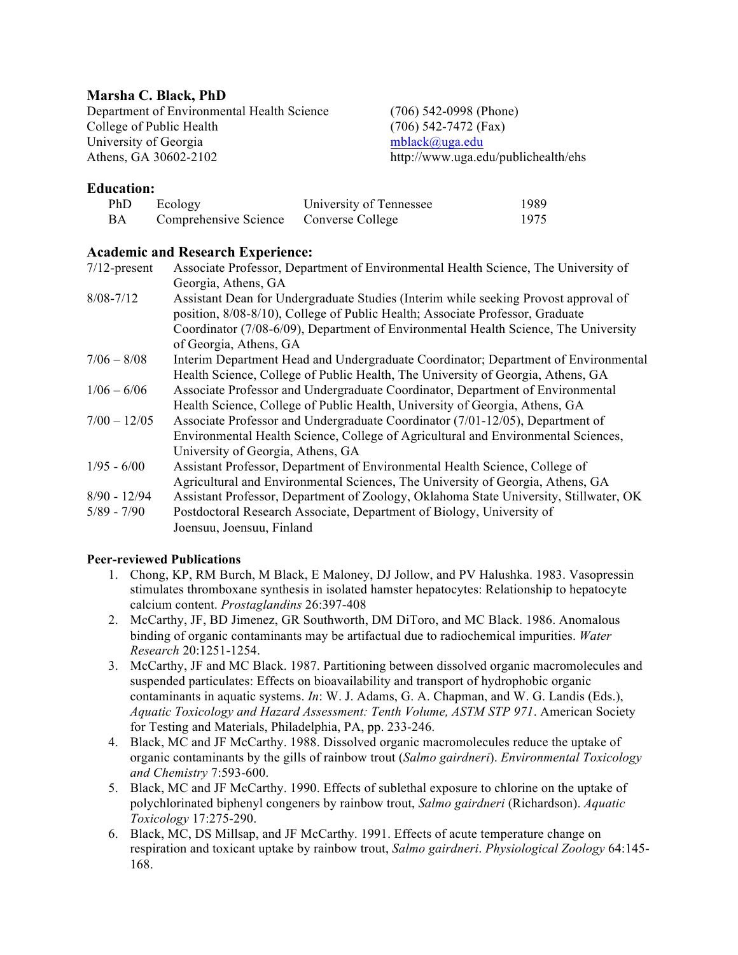# **Marsha C. Black, PhD**

Department of Environmental Health Science (706) 542-0998 (Phone) College of Public Health (706) 542-7472 (Fax) University of Georgia mblack@uga.edu Athens, GA 30602-2102 http://www.uga.edu/publichealth/ehs

# **Education:**

| PhD | Ecology                                | University of Tennessee | 1989 |
|-----|----------------------------------------|-------------------------|------|
| BA  | Comprehensive Science Converse College |                         | 1975 |

# **Academic and Research Experience:**

| $7/12$ -present | Associate Professor, Department of Environmental Health Science, The University of    |  |
|-----------------|---------------------------------------------------------------------------------------|--|
|                 | Georgia, Athens, GA                                                                   |  |
| $8/08 - 7/12$   | Assistant Dean for Undergraduate Studies (Interim while seeking Provost approval of   |  |
|                 | position, 8/08-8/10), College of Public Health; Associate Professor, Graduate         |  |
|                 | Coordinator (7/08-6/09), Department of Environmental Health Science, The University   |  |
|                 | of Georgia, Athens, GA                                                                |  |
| $7/06 - 8/08$   | Interim Department Head and Undergraduate Coordinator; Department of Environmental    |  |
|                 | Health Science, College of Public Health, The University of Georgia, Athens, GA       |  |
| $1/06 - 6/06$   | Associate Professor and Undergraduate Coordinator, Department of Environmental        |  |
|                 | Health Science, College of Public Health, University of Georgia, Athens, GA           |  |
| $7/00 - 12/05$  | Associate Professor and Undergraduate Coordinator (7/01-12/05), Department of         |  |
|                 | Environmental Health Science, College of Agricultural and Environmental Sciences,     |  |
|                 | University of Georgia, Athens, GA                                                     |  |
| $1/95 - 6/00$   | Assistant Professor, Department of Environmental Health Science, College of           |  |
|                 | Agricultural and Environmental Sciences, The University of Georgia, Athens, GA        |  |
| $8/90 - 12/94$  | Assistant Professor, Department of Zoology, Oklahoma State University, Stillwater, OK |  |
| $5/89 - 7/90$   | Postdoctoral Research Associate, Department of Biology, University of                 |  |
|                 | Joensuu, Joensuu, Finland                                                             |  |

# **Peer-reviewed Publications**

- 1. Chong, KP, RM Burch, M Black, E Maloney, DJ Jollow, and PV Halushka. 1983. Vasopressin stimulates thromboxane synthesis in isolated hamster hepatocytes: Relationship to hepatocyte calcium content. *Prostaglandins* 26:397-408
- 2. McCarthy, JF, BD Jimenez, GR Southworth, DM DiToro, and MC Black. 1986. Anomalous binding of organic contaminants may be artifactual due to radiochemical impurities. *Water Research* 20:1251-1254.
- 3. McCarthy, JF and MC Black. 1987. Partitioning between dissolved organic macromolecules and suspended particulates: Effects on bioavailability and transport of hydrophobic organic contaminants in aquatic systems. *In*: W. J. Adams, G. A. Chapman, and W. G. Landis (Eds.), *Aquatic Toxicology and Hazard Assessment: Tenth Volume, ASTM STP 971*. American Society for Testing and Materials, Philadelphia, PA, pp. 233-246.
- 4. Black, MC and JF McCarthy. 1988. Dissolved organic macromolecules reduce the uptake of organic contaminants by the gills of rainbow trout (*Salmo gairdneri*). *Environmental Toxicology and Chemistry* 7:593-600.
- 5. Black, MC and JF McCarthy. 1990. Effects of sublethal exposure to chlorine on the uptake of polychlorinated biphenyl congeners by rainbow trout, *Salmo gairdneri* (Richardson). *Aquatic Toxicology* 17:275-290.
- 6. Black, MC, DS Millsap, and JF McCarthy. 1991. Effects of acute temperature change on respiration and toxicant uptake by rainbow trout, *Salmo gairdneri*. *Physiological Zoology* 64:145- 168.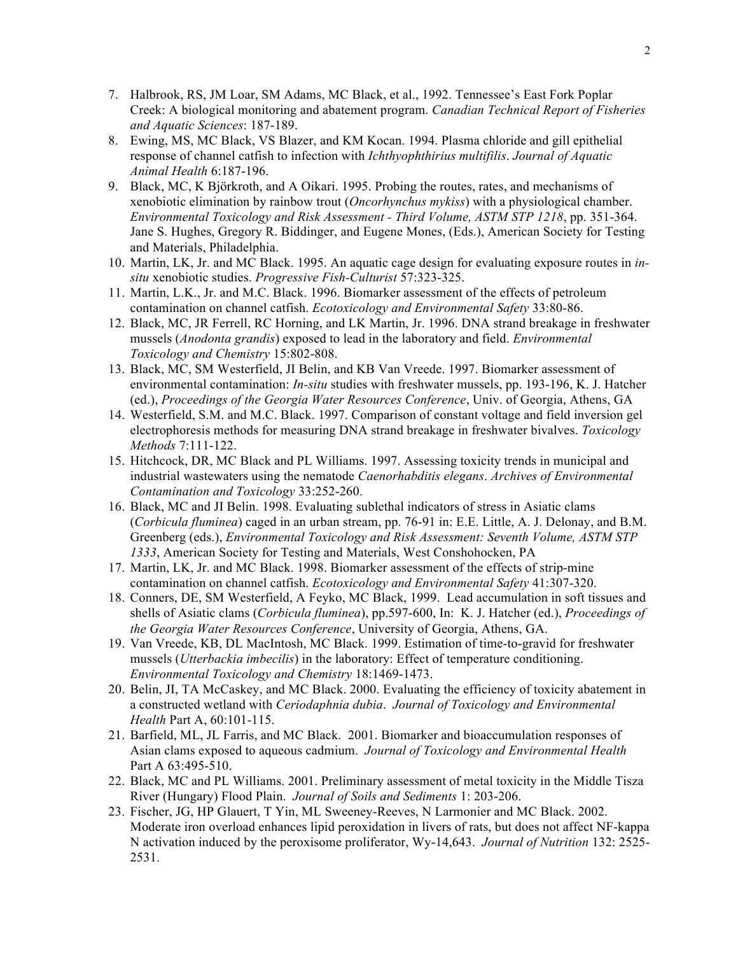- 7. Halbrook, RS, JM Loar, SM Adams, MC Black, et al., 1992. Tennessee's East Fork Poplar Creek: A biological monitoring and abatement program. *Canadian Technical Report of Fisheries and Aquatic Sciences*: 187-189.
- 8. Ewing, MS, MC Black, VS Blazer, and KM Kocan. 1994. Plasma chloride and gill epithelial response of channel catfish to infection with *Ichthyophthirius multifilis*. *Journal of Aquatic Animal Health* 6:187-196.
- 9. Black, MC, K Björkroth, and A Oikari. 1995. Probing the routes, rates, and mechanisms of xenobiotic elimination by rainbow trout (*Oncorhynchus mykiss*) with a physiological chamber. *Environmental Toxicology and Risk Assessment - Third Volume, ASTM STP 1218*, pp. 351-364. Jane S. Hughes, Gregory R. Biddinger, and Eugene Mones, (Eds.), American Society for Testing and Materials, Philadelphia.
- 10. Martin, LK, Jr. and MC Black. 1995. An aquatic cage design for evaluating exposure routes in *insitu* xenobiotic studies. *Progressive Fish-Culturist* 57:323-325.
- 11. Martin, L.K., Jr. and M.C. Black. 1996. Biomarker assessment of the effects of petroleum contamination on channel catfish. *Ecotoxicology and Environmental Safety* 33:80-86.
- 12. Black, MC, JR Ferrell, RC Horning, and LK Martin, Jr. 1996. DNA strand breakage in freshwater mussels (*Anodonta grandis*) exposed to lead in the laboratory and field. *Environmental Toxicology and Chemistry* 15:802-808.
- 13. Black, MC, SM Westerfield, JI Belin, and KB Van Vreede. 1997. Biomarker assessment of environmental contamination: *In-situ* studies with freshwater mussels, pp. 193-196, K. J. Hatcher (ed.), *Proceedings of the Georgia Water Resources Conference*, Univ. of Georgia, Athens, GA
- 14. Westerfield, S.M. and M.C. Black. 1997. Comparison of constant voltage and field inversion gel electrophoresis methods for measuring DNA strand breakage in freshwater bivalves. *Toxicology Methods* 7:111-122.
- 15. Hitchcock, DR, MC Black and PL Williams. 1997. Assessing toxicity trends in municipal and industrial wastewaters using the nematode *Caenorhabditis elegans*. *Archives of Environmental Contamination and Toxicology* 33:252-260.
- 16. Black, MC and JI Belin. 1998. Evaluating sublethal indicators of stress in Asiatic clams (*Corbicula fluminea*) caged in an urban stream, pp. 76-91 in: E.E. Little, A. J. Delonay, and B.M. Greenberg (eds.), *Environmental Toxicology and Risk Assessment: Seventh Volume, ASTM STP 1333*, American Society for Testing and Materials, West Conshohocken, PA
- 17. Martin, LK, Jr. and MC Black. 1998. Biomarker assessment of the effects of strip-mine contamination on channel catfish. *Ecotoxicology and Environmental Safety* 41:307-320.
- 18. Conners, DE, SM Westerfield, A Feyko, MC Black, 1999. Lead accumulation in soft tissues and shells of Asiatic clams (*Corbicula fluminea*), pp.597-600, In: K. J. Hatcher (ed.), *Proceedings of the Georgia Water Resources Conference*, University of Georgia, Athens, GA.
- 19. Van Vreede, KB, DL MacIntosh, MC Black. 1999. Estimation of time-to-gravid for freshwater mussels (*Utterbackia imbecilis*) in the laboratory: Effect of temperature conditioning. *Environmental Toxicology and Chemistry* 18:1469-1473.
- 20. Belin, JI, TA McCaskey, and MC Black. 2000. Evaluating the efficiency of toxicity abatement in a constructed wetland with *Ceriodaphnia dubia*. *Journal of Toxicology and Environmental Health* Part A, 60:101-115.
- 21. Barfield, ML, JL Farris, and MC Black. 2001. Biomarker and bioaccumulation responses of Asian clams exposed to aqueous cadmium. *Journal of Toxicology and Environmental Health* Part A 63:495-510.
- 22. Black, MC and PL Williams. 2001. Preliminary assessment of metal toxicity in the Middle Tisza River (Hungary) Flood Plain. *Journal of Soils and Sediments* 1: 203-206.
- 23. Fischer, JG, HP Glauert, T Yin, ML Sweeney-Reeves, N Larmonier and MC Black. 2002. Moderate iron overload enhances lipid peroxidation in livers of rats, but does not affect NF-kappa N activation induced by the peroxisome proliferator, Wy-14,643. *Journal of Nutrition* 132: 2525- 2531.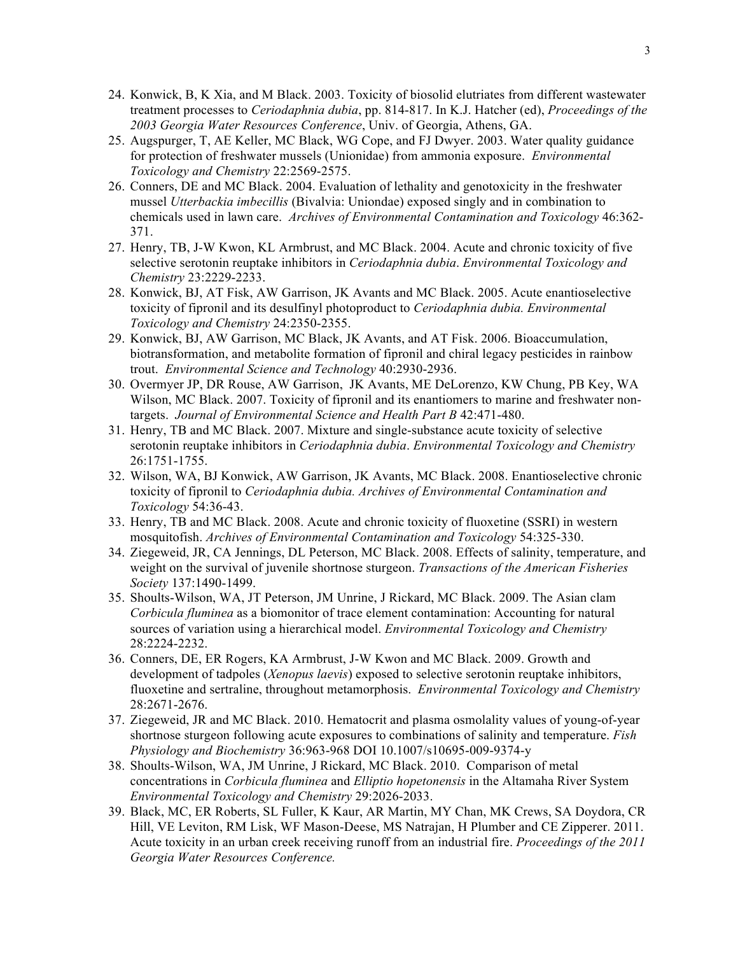- 24. Konwick, B, K Xia, and M Black. 2003. Toxicity of biosolid elutriates from different wastewater treatment processes to *Ceriodaphnia dubia*, pp. 814-817. In K.J. Hatcher (ed), *Proceedings of the 2003 Georgia Water Resources Conference*, Univ. of Georgia, Athens, GA.
- 25. Augspurger, T, AE Keller, MC Black, WG Cope, and FJ Dwyer. 2003. Water quality guidance for protection of freshwater mussels (Unionidae) from ammonia exposure. *Environmental Toxicology and Chemistry* 22:2569-2575.
- 26. Conners, DE and MC Black. 2004. Evaluation of lethality and genotoxicity in the freshwater mussel *Utterbackia imbecillis* (Bivalvia: Uniondae) exposed singly and in combination to chemicals used in lawn care. *Archives of Environmental Contamination and Toxicology* 46:362- 371.
- 27. Henry, TB, J-W Kwon, KL Armbrust, and MC Black. 2004. Acute and chronic toxicity of five selective serotonin reuptake inhibitors in *Ceriodaphnia dubia*. *Environmental Toxicology and Chemistry* 23:2229-2233.
- 28. Konwick, BJ, AT Fisk, AW Garrison, JK Avants and MC Black. 2005. Acute enantioselective toxicity of fipronil and its desulfinyl photoproduct to *Ceriodaphnia dubia. Environmental Toxicology and Chemistry* 24:2350-2355.
- 29. Konwick, BJ, AW Garrison, MC Black, JK Avants, and AT Fisk. 2006. Bioaccumulation, biotransformation, and metabolite formation of fipronil and chiral legacy pesticides in rainbow trout. *Environmental Science and Technology* 40:2930-2936.
- 30. Overmyer JP, DR Rouse, AW Garrison, JK Avants, ME DeLorenzo, KW Chung, PB Key, WA Wilson, MC Black. 2007. Toxicity of fipronil and its enantiomers to marine and freshwater nontargets. *Journal of Environmental Science and Health Part B* 42:471-480.
- 31. Henry, TB and MC Black. 2007. Mixture and single-substance acute toxicity of selective serotonin reuptake inhibitors in *Ceriodaphnia dubia*. *Environmental Toxicology and Chemistry* 26:1751-1755.
- 32. Wilson, WA, BJ Konwick, AW Garrison, JK Avants, MC Black. 2008. Enantioselective chronic toxicity of fipronil to *Ceriodaphnia dubia. Archives of Environmental Contamination and Toxicology* 54:36-43.
- 33. Henry, TB and MC Black. 2008. Acute and chronic toxicity of fluoxetine (SSRI) in western mosquitofish. *Archives of Environmental Contamination and Toxicology* 54:325-330.
- 34. Ziegeweid, JR, CA Jennings, DL Peterson, MC Black. 2008. Effects of salinity, temperature, and weight on the survival of juvenile shortnose sturgeon. *Transactions of the American Fisheries Society* 137:1490-1499.
- 35. Shoults-Wilson, WA, JT Peterson, JM Unrine, J Rickard, MC Black. 2009. The Asian clam *Corbicula fluminea* as a biomonitor of trace element contamination: Accounting for natural sources of variation using a hierarchical model. *Environmental Toxicology and Chemistry* 28:2224-2232.
- 36. Conners, DE, ER Rogers, KA Armbrust, J-W Kwon and MC Black. 2009. Growth and development of tadpoles (*Xenopus laevis*) exposed to selective serotonin reuptake inhibitors, fluoxetine and sertraline, throughout metamorphosis. *Environmental Toxicology and Chemistry* 28:2671-2676.
- 37. Ziegeweid, JR and MC Black. 2010. Hematocrit and plasma osmolality values of young-of-year shortnose sturgeon following acute exposures to combinations of salinity and temperature. *Fish Physiology and Biochemistry* 36:963-968 DOI 10.1007/s10695-009-9374-y
- 38. Shoults-Wilson, WA, JM Unrine, J Rickard, MC Black. 2010. Comparison of metal concentrations in *Corbicula fluminea* and *Elliptio hopetonensis* in the Altamaha River System *Environmental Toxicology and Chemistry* 29:2026-2033.
- 39. Black, MC, ER Roberts, SL Fuller, K Kaur, AR Martin, MY Chan, MK Crews, SA Doydora, CR Hill, VE Leviton, RM Lisk, WF Mason-Deese, MS Natrajan, H Plumber and CE Zipperer. 2011. Acute toxicity in an urban creek receiving runoff from an industrial fire. *Proceedings of the 2011 Georgia Water Resources Conference.*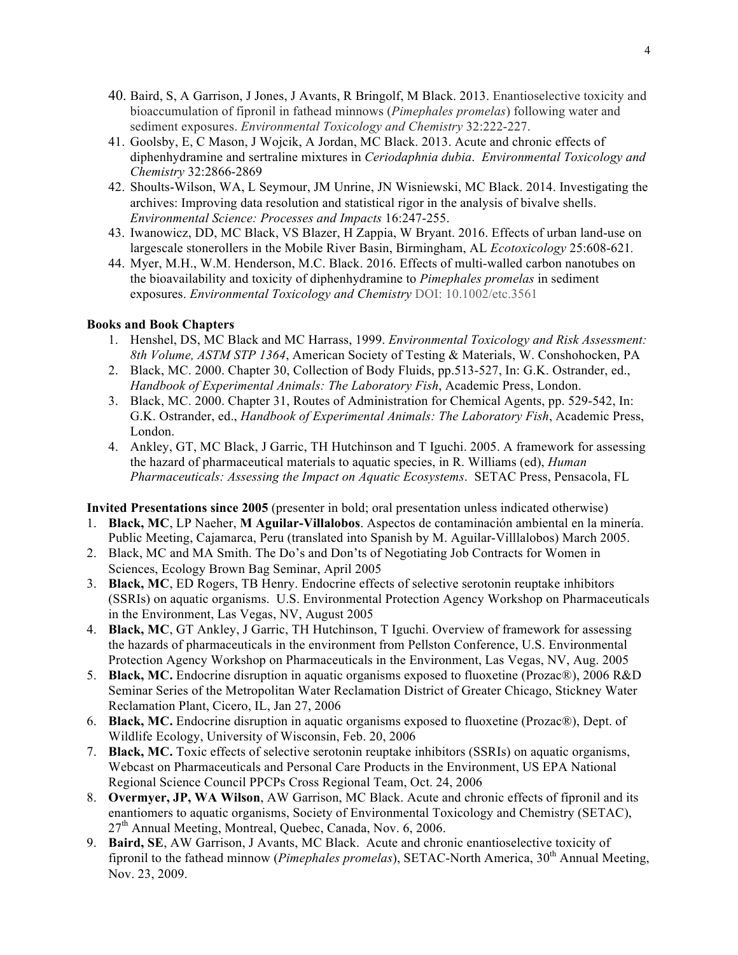- 40. Baird, S, A Garrison, J Jones, J Avants, R Bringolf, M Black. 2013. Enantioselective toxicity and bioaccumulation of fipronil in fathead minnows (*Pimephales promelas*) following water and sediment exposures. *Environmental Toxicology and Chemistry* 32:222-227.
- 41. Goolsby, E, C Mason, J Wojcik, A Jordan, MC Black. 2013. Acute and chronic effects of diphenhydramine and sertraline mixtures in *Ceriodaphnia dubia*. *Environmental Toxicology and Chemistry* 32:2866-2869
- 42. Shoults-Wilson, WA, L Seymour, JM Unrine, JN Wisniewski, MC Black. 2014. Investigating the archives: Improving data resolution and statistical rigor in the analysis of bivalve shells. *Environmental Science: Processes and Impacts* 16:247-255.
- 43. Iwanowicz, DD, MC Black, VS Blazer, H Zappia, W Bryant. 2016. Effects of urban land-use on largescale stonerollers in the Mobile River Basin, Birmingham, AL *Ecotoxicology* 25:608-621*.*
- 44. Myer, M.H., W.M. Henderson, M.C. Black. 2016. Effects of multi-walled carbon nanotubes on the bioavailability and toxicity of diphenhydramine to *Pimephales promelas* in sediment exposures. *Environmental Toxicology and Chemistry* DOI: 10.1002/etc.3561

## **Books and Book Chapters**

- 1. Henshel, DS, MC Black and MC Harrass, 1999. *Environmental Toxicology and Risk Assessment: 8th Volume, ASTM STP 1364*, American Society of Testing & Materials, W. Conshohocken, PA
- 2. Black, MC. 2000. Chapter 30, Collection of Body Fluids, pp.513-527, In: G.K. Ostrander, ed., *Handbook of Experimental Animals: The Laboratory Fish*, Academic Press, London.
- 3. Black, MC. 2000. Chapter 31, Routes of Administration for Chemical Agents, pp. 529-542, In: G.K. Ostrander, ed., *Handbook of Experimental Animals: The Laboratory Fish*, Academic Press, London.
- 4. Ankley, GT, MC Black, J Garric, TH Hutchinson and T Iguchi. 2005. A framework for assessing the hazard of pharmaceutical materials to aquatic species, in R. Williams (ed), *Human Pharmaceuticals: Assessing the Impact on Aquatic Ecosystems*. SETAC Press, Pensacola, FL

**Invited Presentations since 2005** (presenter in bold; oral presentation unless indicated otherwise)

- 1. **Black, MC**, LP Naeher, **M Aguilar-Villalobos**. Aspectos de contaminaciόn ambiental en la minerίa. Public Meeting, Cajamarca, Peru (translated into Spanish by M. Aguilar-Villlalobos) March 2005.
- 2. Black, MC and MA Smith. The Do's and Don'ts of Negotiating Job Contracts for Women in Sciences, Ecology Brown Bag Seminar, April 2005
- 3. **Black, MC**, ED Rogers, TB Henry. Endocrine effects of selective serotonin reuptake inhibitors (SSRIs) on aquatic organisms. U.S. Environmental Protection Agency Workshop on Pharmaceuticals in the Environment, Las Vegas, NV, August 2005
- 4. **Black, MC**, GT Ankley, J Garric, TH Hutchinson, T Iguchi. Overview of framework for assessing the hazards of pharmaceuticals in the environment from Pellston Conference, U.S. Environmental Protection Agency Workshop on Pharmaceuticals in the Environment, Las Vegas, NV, Aug. 2005
- 5. **Black, MC.** Endocrine disruption in aquatic organisms exposed to fluoxetine (Prozac®), 2006 R&D Seminar Series of the Metropolitan Water Reclamation District of Greater Chicago, Stickney Water Reclamation Plant, Cicero, IL, Jan 27, 2006
- 6. **Black, MC.** Endocrine disruption in aquatic organisms exposed to fluoxetine (Prozac®), Dept. of Wildlife Ecology, University of Wisconsin, Feb. 20, 2006
- 7. **Black, MC.** Toxic effects of selective serotonin reuptake inhibitors (SSRIs) on aquatic organisms, Webcast on Pharmaceuticals and Personal Care Products in the Environment, US EPA National Regional Science Council PPCPs Cross Regional Team, Oct. 24, 2006
- 8. **Overmyer, JP, WA Wilson**, AW Garrison, MC Black. Acute and chronic effects of fipronil and its enantiomers to aquatic organisms, Society of Environmental Toxicology and Chemistry (SETAC),  $27<sup>th</sup>$  Annual Meeting, Montreal, Ouebec, Canada, Nov. 6, 2006.
- 9. **Baird, SE**, AW Garrison, J Avants, MC Black. Acute and chronic enantioselective toxicity of fipronil to the fathead minnow (*Pimephales promelas*), SETAC-North America, 30<sup>th</sup> Annual Meeting, Nov. 23, 2009.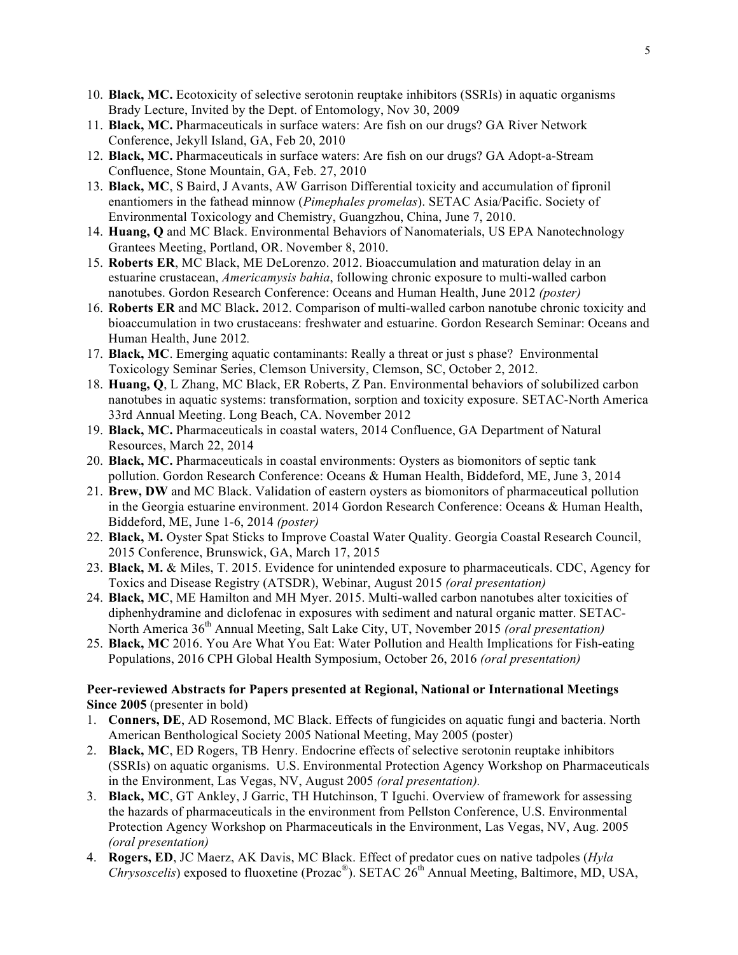- 10. **Black, MC.** Ecotoxicity of selective serotonin reuptake inhibitors (SSRIs) in aquatic organisms Brady Lecture, Invited by the Dept. of Entomology, Nov 30, 2009
- 11. **Black, MC.** Pharmaceuticals in surface waters: Are fish on our drugs? GA River Network Conference, Jekyll Island, GA, Feb 20, 2010
- 12. **Black, MC.** Pharmaceuticals in surface waters: Are fish on our drugs? GA Adopt-a-Stream Confluence, Stone Mountain, GA, Feb. 27, 2010
- 13. **Black, MC**, S Baird, J Avants, AW Garrison Differential toxicity and accumulation of fipronil enantiomers in the fathead minnow (*Pimephales promelas*). SETAC Asia/Pacific. Society of Environmental Toxicology and Chemistry, Guangzhou, China, June 7, 2010.
- 14. **Huang, Q** and MC Black. Environmental Behaviors of Nanomaterials, US EPA Nanotechnology Grantees Meeting, Portland, OR. November 8, 2010.
- 15. **Roberts ER**, MC Black, ME DeLorenzo. 2012. Bioaccumulation and maturation delay in an estuarine crustacean, *Americamysis bahia*, following chronic exposure to multi-walled carbon nanotubes. Gordon Research Conference: Oceans and Human Health, June 2012 *(poster)*
- 16. **Roberts ER** and MC Black**.** 2012. Comparison of multi-walled carbon nanotube chronic toxicity and bioaccumulation in two crustaceans: freshwater and estuarine. Gordon Research Seminar: Oceans and Human Health, June 2012*.*
- 17. **Black, MC**. Emerging aquatic contaminants: Really a threat or just s phase? Environmental Toxicology Seminar Series, Clemson University, Clemson, SC, October 2, 2012.
- 18. **Huang, Q**, L Zhang, MC Black, ER Roberts, Z Pan. Environmental behaviors of solubilized carbon nanotubes in aquatic systems: transformation, sorption and toxicity exposure. SETAC-North America 33rd Annual Meeting. Long Beach, CA. November 2012
- 19. **Black, MC.** Pharmaceuticals in coastal waters, 2014 Confluence, GA Department of Natural Resources, March 22, 2014
- 20. **Black, MC.** Pharmaceuticals in coastal environments: Oysters as biomonitors of septic tank pollution. Gordon Research Conference: Oceans & Human Health, Biddeford, ME, June 3, 2014
- 21. **Brew, DW** and MC Black. Validation of eastern oysters as biomonitors of pharmaceutical pollution in the Georgia estuarine environment. 2014 Gordon Research Conference: Oceans & Human Health, Biddeford, ME, June 1-6, 2014 *(poster)*
- 22. **Black, M.** Oyster Spat Sticks to Improve Coastal Water Quality. Georgia Coastal Research Council, 2015 Conference, Brunswick, GA, March 17, 2015
- 23. **Black, M.** & Miles, T. 2015. Evidence for unintended exposure to pharmaceuticals. CDC, Agency for Toxics and Disease Registry (ATSDR), Webinar, August 2015 *(oral presentation)*
- 24. **Black, MC**, ME Hamilton and MH Myer. 2015. Multi-walled carbon nanotubes alter toxicities of diphenhydramine and diclofenac in exposures with sediment and natural organic matter. SETAC-North America 36th Annual Meeting, Salt Lake City, UT, November 2015 *(oral presentation)*
- 25. **Black, MC** 2016. You Are What You Eat: Water Pollution and Health Implications for Fish-eating Populations, 2016 CPH Global Health Symposium, October 26, 2016 *(oral presentation)*

## **Peer-reviewed Abstracts for Papers presented at Regional, National or International Meetings Since 2005** (presenter in bold)

- 1. **Conners, DE**, AD Rosemond, MC Black. Effects of fungicides on aquatic fungi and bacteria. North American Benthological Society 2005 National Meeting, May 2005 (poster)
- 2. **Black, MC**, ED Rogers, TB Henry. Endocrine effects of selective serotonin reuptake inhibitors (SSRIs) on aquatic organisms. U.S. Environmental Protection Agency Workshop on Pharmaceuticals in the Environment, Las Vegas, NV, August 2005 *(oral presentation).*
- 3. **Black, MC**, GT Ankley, J Garric, TH Hutchinson, T Iguchi. Overview of framework for assessing the hazards of pharmaceuticals in the environment from Pellston Conference, U.S. Environmental Protection Agency Workshop on Pharmaceuticals in the Environment, Las Vegas, NV, Aug. 2005 *(oral presentation)*
- 4. **Rogers, ED**, JC Maerz, AK Davis, MC Black. Effect of predator cues on native tadpoles (*Hyla Chrysoscelis*) exposed to fluoxetine (Prozac®). SETAC 26th Annual Meeting, Baltimore, MD, USA,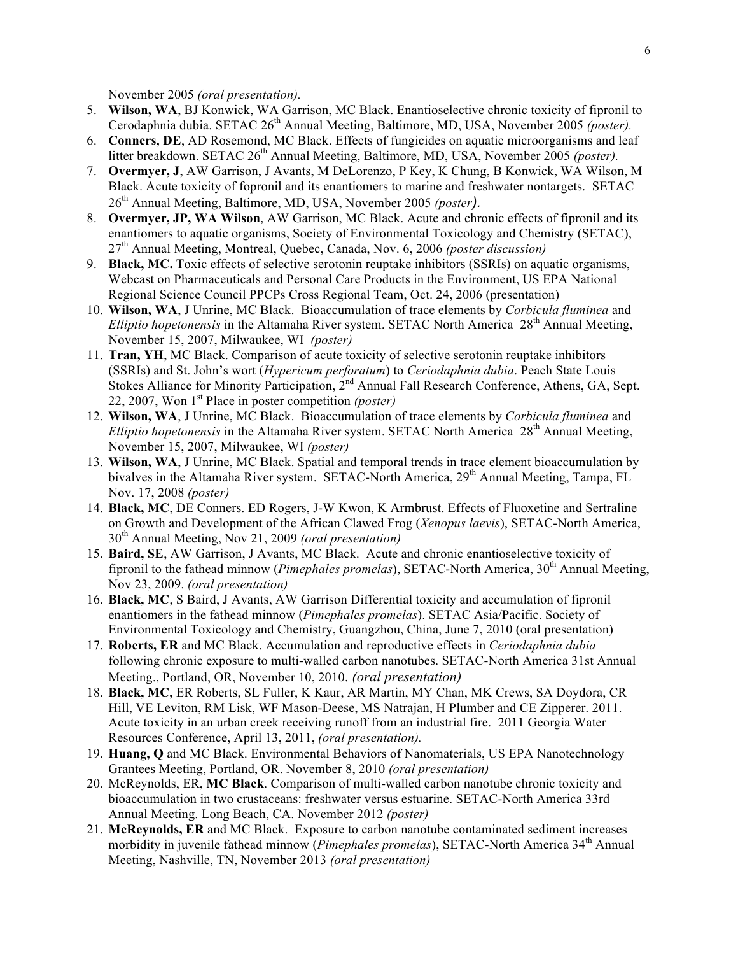November 2005 *(oral presentation).*

- 5. **Wilson, WA**, BJ Konwick, WA Garrison, MC Black. Enantioselective chronic toxicity of fipronil to Cerodaphnia dubia. SETAC 26<sup>th</sup> Annual Meeting, Baltimore, MD, USA, November 2005 *(poster)*.
- 6. **Conners, DE**, AD Rosemond, MC Black. Effects of fungicides on aquatic microorganisms and leaf litter breakdown. SETAC 26<sup>th</sup> Annual Meeting, Baltimore, MD, USA, November 2005 *(poster)*.
- 7. **Overmyer, J**, AW Garrison, J Avants, M DeLorenzo, P Key, K Chung, B Konwick, WA Wilson, M Black. Acute toxicity of fopronil and its enantiomers to marine and freshwater nontargets. SETAC 26<sup>th</sup> Annual Meeting, Baltimore, MD, USA, November 2005 *(poster*).
- 8. **Overmyer, JP, WA Wilson**, AW Garrison, MC Black. Acute and chronic effects of fipronil and its enantiomers to aquatic organisms, Society of Environmental Toxicology and Chemistry (SETAC), 27th Annual Meeting, Montreal, Quebec, Canada, Nov. 6, 2006 *(poster discussion)*
- 9. **Black, MC.** Toxic effects of selective serotonin reuptake inhibitors (SSRIs) on aquatic organisms, Webcast on Pharmaceuticals and Personal Care Products in the Environment, US EPA National Regional Science Council PPCPs Cross Regional Team, Oct. 24, 2006 (presentation)
- 10. **Wilson, WA**, J Unrine, MC Black. Bioaccumulation of trace elements by *Corbicula fluminea* and *Elliptio hopetonensis* in the Altamaha River system. SETAC North America 28<sup>th</sup> Annual Meeting, November 15, 2007, Milwaukee, WI *(poster)*
- 11. **Tran, YH**, MC Black. Comparison of acute toxicity of selective serotonin reuptake inhibitors (SSRIs) and St. John's wort (*Hypericum perforatum*) to *Ceriodaphnia dubia*. Peach State Louis Stokes Alliance for Minority Participation, 2<sup>nd</sup> Annual Fall Research Conference, Athens, GA, Sept. 22, 2007, Won 1st Place in poster competition *(poster)*
- 12. **Wilson, WA**, J Unrine, MC Black. Bioaccumulation of trace elements by *Corbicula fluminea* and *Elliptio hopetonensis* in the Altamaha River system. SETAC North America 28<sup>th</sup> Annual Meeting, November 15, 2007, Milwaukee, WI *(poster)*
- 13. **Wilson, WA**, J Unrine, MC Black. Spatial and temporal trends in trace element bioaccumulation by bivalves in the Altamaha River system. SETAC-North America, 29<sup>th</sup> Annual Meeting, Tampa, FL Nov. 17, 2008 *(poster)*
- 14. **Black, MC**, DE Conners. ED Rogers, J-W Kwon, K Armbrust. Effects of Fluoxetine and Sertraline on Growth and Development of the African Clawed Frog (*Xenopus laevis*), SETAC-North America, 30th Annual Meeting, Nov 21, 2009 *(oral presentation)*
- 15. **Baird, SE**, AW Garrison, J Avants, MC Black. Acute and chronic enantioselective toxicity of fipronil to the fathead minnow (*Pimephales promelas*), SETAC-North America, 30<sup>th</sup> Annual Meeting, Nov 23, 2009. *(oral presentation)*
- 16. **Black, MC**, S Baird, J Avants, AW Garrison Differential toxicity and accumulation of fipronil enantiomers in the fathead minnow (*Pimephales promelas*). SETAC Asia/Pacific. Society of Environmental Toxicology and Chemistry, Guangzhou, China, June 7, 2010 (oral presentation)
- 17. **Roberts, ER** and MC Black. Accumulation and reproductive effects in *Ceriodaphnia dubia* following chronic exposure to multi-walled carbon nanotubes. SETAC-North America 31st Annual Meeting., Portland, OR, November 10, 2010. *(oral presentation)*
- 18. **Black, MC,** ER Roberts, SL Fuller, K Kaur, AR Martin, MY Chan, MK Crews, SA Doydora, CR Hill, VE Leviton, RM Lisk, WF Mason-Deese, MS Natrajan, H Plumber and CE Zipperer. 2011. Acute toxicity in an urban creek receiving runoff from an industrial fire. 2011 Georgia Water Resources Conference, April 13, 2011, *(oral presentation).*
- 19. **Huang, Q** and MC Black. Environmental Behaviors of Nanomaterials, US EPA Nanotechnology Grantees Meeting, Portland, OR. November 8, 2010 *(oral presentation)*
- 20. McReynolds, ER, **MC Black**. Comparison of multi-walled carbon nanotube chronic toxicity and bioaccumulation in two crustaceans: freshwater versus estuarine. SETAC-North America 33rd Annual Meeting. Long Beach, CA. November 2012 *(poster)*
- 21. **McReynolds, ER** and MC Black. Exposure to carbon nanotube contaminated sediment increases morbidity in juvenile fathead minnow (Pimephales promelas), SETAC-North America 34<sup>th</sup> Annual Meeting, Nashville, TN, November 2013 *(oral presentation)*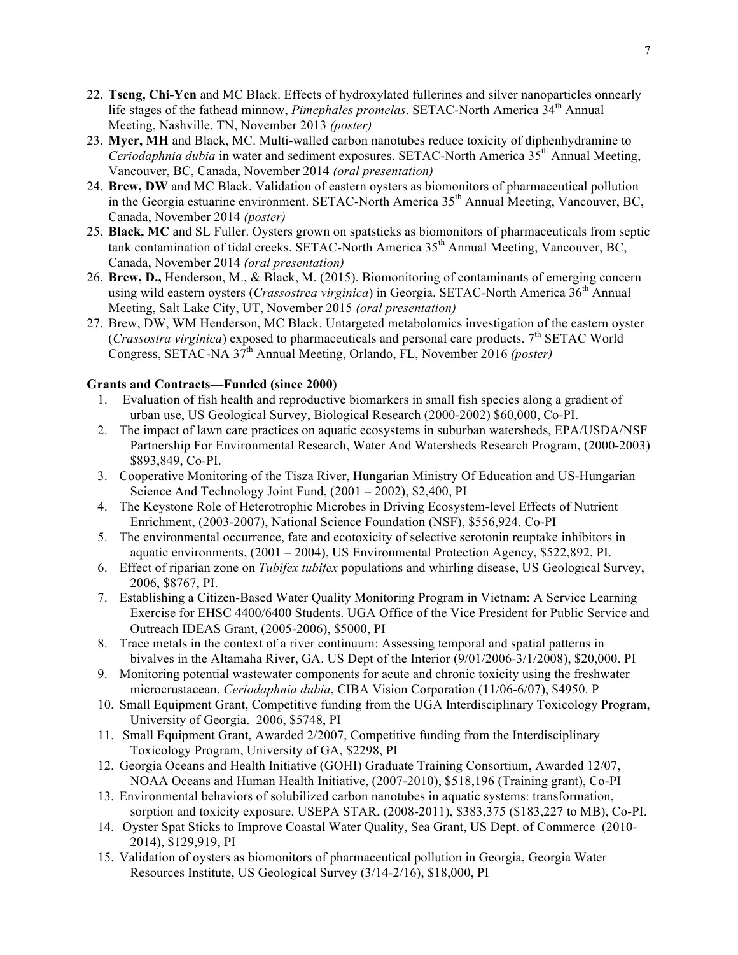- 22. **Tseng, Chi-Yen** and MC Black. Effects of hydroxylated fullerines and silver nanoparticles onnearly life stages of the fathead minnow, *Pimephales promelas*, SETAC-North America 34<sup>th</sup> Annual Meeting, Nashville, TN, November 2013 *(poster)*
- 23. **Myer, MH** and Black, MC. Multi-walled carbon nanotubes reduce toxicity of diphenhydramine to *Ceriodaphnia dubia* in water and sediment exposures. SETAC-North America 35<sup>th</sup> Annual Meeting, Vancouver, BC, Canada, November 2014 *(oral presentation)*
- 24. **Brew, DW** and MC Black. Validation of eastern oysters as biomonitors of pharmaceutical pollution in the Georgia estuarine environment. SETAC-North America  $35<sup>th</sup>$  Annual Meeting, Vancouver, BC, Canada, November 2014 *(poster)*
- 25. **Black, MC** and SL Fuller. Oysters grown on spatsticks as biomonitors of pharmaceuticals from septic tank contamination of tidal creeks. SETAC-North America 35<sup>th</sup> Annual Meeting, Vancouver, BC, Canada, November 2014 *(oral presentation)*
- 26. **Brew, D.,** Henderson, M., & Black, M. (2015). Biomonitoring of contaminants of emerging concern using wild eastern oysters (*Crassostrea virginica*) in Georgia. SETAC-North America 36<sup>th</sup> Annual Meeting, Salt Lake City, UT, November 2015 *(oral presentation)*
- 27. Brew, DW, WM Henderson, MC Black. Untargeted metabolomics investigation of the eastern oyster (*Crassostra virginica*) exposed to pharmaceuticals and personal care products.  $7<sup>th</sup>$  SETAC World Congress, SETAC-NA 37th Annual Meeting, Orlando, FL, November 2016 *(poster)*

## **Grants and Contracts—Funded (since 2000)**

- 1. Evaluation of fish health and reproductive biomarkers in small fish species along a gradient of urban use, US Geological Survey, Biological Research (2000-2002) \$60,000, Co-PI.
- 2. The impact of lawn care practices on aquatic ecosystems in suburban watersheds, EPA/USDA/NSF Partnership For Environmental Research, Water And Watersheds Research Program, (2000-2003) \$893,849, Co-PI.
- 3. Cooperative Monitoring of the Tisza River, Hungarian Ministry Of Education and US-Hungarian Science And Technology Joint Fund, (2001 – 2002), \$2,400, PI
- 4. The Keystone Role of Heterotrophic Microbes in Driving Ecosystem-level Effects of Nutrient Enrichment, (2003-2007), National Science Foundation (NSF), \$556,924. Co-PI
- 5. The environmental occurrence, fate and ecotoxicity of selective serotonin reuptake inhibitors in aquatic environments, (2001 – 2004), US Environmental Protection Agency, \$522,892, PI.
- 6. Effect of riparian zone on *Tubifex tubifex* populations and whirling disease, US Geological Survey, 2006, \$8767, PI.
- 7. Establishing a Citizen-Based Water Quality Monitoring Program in Vietnam: A Service Learning Exercise for EHSC 4400/6400 Students. UGA Office of the Vice President for Public Service and Outreach IDEAS Grant, (2005-2006), \$5000, PI
- 8. Trace metals in the context of a river continuum: Assessing temporal and spatial patterns in bivalves in the Altamaha River, GA. US Dept of the Interior (9/01/2006-3/1/2008), \$20,000. PI
- 9. Monitoring potential wastewater components for acute and chronic toxicity using the freshwater microcrustacean, *Ceriodaphnia dubia*, CIBA Vision Corporation (11/06-6/07), \$4950. P
- 10. Small Equipment Grant, Competitive funding from the UGA Interdisciplinary Toxicology Program, University of Georgia. 2006, \$5748, PI
- 11. Small Equipment Grant, Awarded 2/2007, Competitive funding from the Interdisciplinary Toxicology Program, University of GA, \$2298, PI
- 12. Georgia Oceans and Health Initiative (GOHI) Graduate Training Consortium, Awarded 12/07, NOAA Oceans and Human Health Initiative, (2007-2010), \$518,196 (Training grant), Co-PI
- 13. Environmental behaviors of solubilized carbon nanotubes in aquatic systems: transformation, sorption and toxicity exposure. USEPA STAR, (2008-2011), \$383,375 (\$183,227 to MB), Co-PI.
- 14. Oyster Spat Sticks to Improve Coastal Water Quality, Sea Grant, US Dept. of Commerce (2010- 2014), \$129,919, PI
- 15. Validation of oysters as biomonitors of pharmaceutical pollution in Georgia, Georgia Water Resources Institute, US Geological Survey (3/14-2/16), \$18,000, PI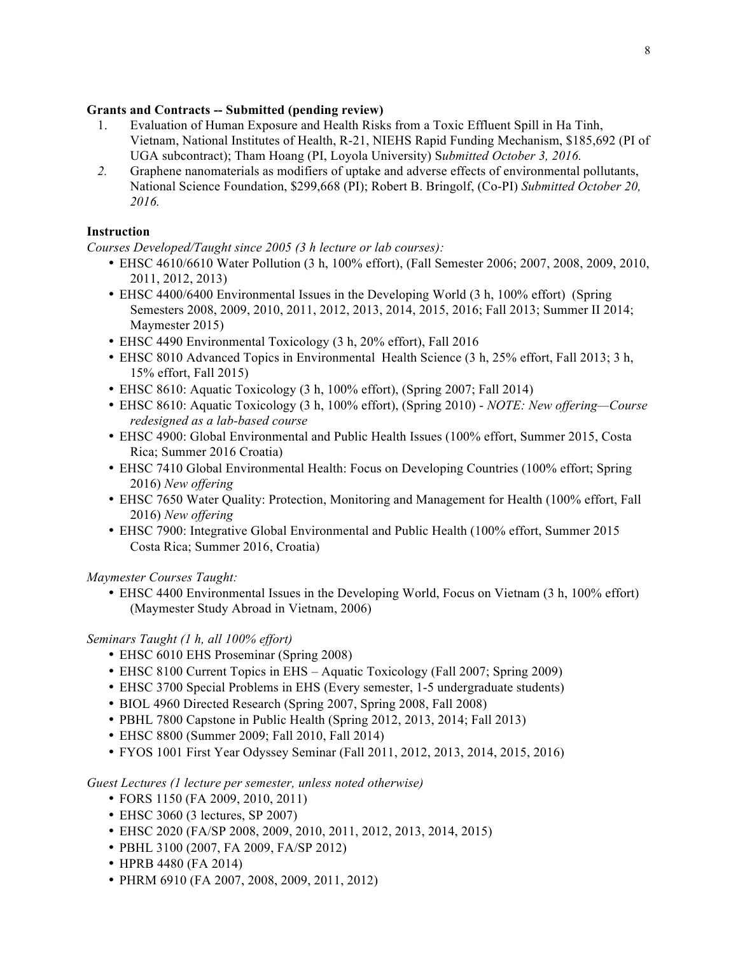## **Grants and Contracts -- Submitted (pending review)**

- 1. Evaluation of Human Exposure and Health Risks from a Toxic Effluent Spill in Ha Tinh, Vietnam, National Institutes of Health, R-21, NIEHS Rapid Funding Mechanism, \$185,692 (PI of UGA subcontract); Tham Hoang (PI, Loyola University) S*ubmitted October 3, 2016.*
- *2.* Graphene nanomaterials as modifiers of uptake and adverse effects of environmental pollutants, National Science Foundation, \$299,668 (PI); Robert B. Bringolf, (Co-PI) *Submitted October 20, 2016.*

## **Instruction**

*Courses Developed/Taught since 2005 (3 h lecture or lab courses):*

- EHSC 4610/6610 Water Pollution (3 h, 100% effort), (Fall Semester 2006; 2007, 2008, 2009, 2010, 2011, 2012, 2013)
- EHSC 4400/6400 Environmental Issues in the Developing World (3 h, 100% effort) (Spring Semesters 2008, 2009, 2010, 2011, 2012, 2013, 2014, 2015, 2016; Fall 2013; Summer II 2014; Maymester 2015)
- EHSC 4490 Environmental Toxicology (3 h, 20% effort), Fall 2016
- EHSC 8010 Advanced Topics in Environmental Health Science (3 h, 25% effort, Fall 2013; 3 h, 15% effort, Fall 2015)
- EHSC 8610: Aquatic Toxicology (3 h, 100% effort), (Spring 2007; Fall 2014)
- EHSC 8610: Aquatic Toxicology (3 h, 100% effort), (Spring 2010) *NOTE: New offering—Course redesigned as a lab-based course*
- EHSC 4900: Global Environmental and Public Health Issues (100% effort, Summer 2015, Costa Rica; Summer 2016 Croatia)
- EHSC 7410 Global Environmental Health: Focus on Developing Countries (100% effort; Spring 2016) *New offering*
- EHSC 7650 Water Quality: Protection, Monitoring and Management for Health (100% effort, Fall 2016) *New offering*
- EHSC 7900: Integrative Global Environmental and Public Health (100% effort, Summer 2015 Costa Rica; Summer 2016, Croatia)

*Maymester Courses Taught:* 

• EHSC 4400 Environmental Issues in the Developing World, Focus on Vietnam (3 h, 100% effort) (Maymester Study Abroad in Vietnam, 2006)

#### *Seminars Taught (1 h, all 100% effort)*

- EHSC 6010 EHS Proseminar (Spring 2008)
- EHSC 8100 Current Topics in EHS Aquatic Toxicology (Fall 2007; Spring 2009)
- EHSC 3700 Special Problems in EHS (Every semester, 1-5 undergraduate students)
- BIOL 4960 Directed Research (Spring 2007, Spring 2008, Fall 2008)
- PBHL 7800 Capstone in Public Health (Spring 2012, 2013, 2014; Fall 2013)
- EHSC 8800 (Summer 2009; Fall 2010, Fall 2014)
- FYOS 1001 First Year Odyssey Seminar (Fall 2011, 2012, 2013, 2014, 2015, 2016)

*Guest Lectures (1 lecture per semester, unless noted otherwise)* 

- FORS 1150 (FA 2009, 2010, 2011)
- EHSC 3060 (3 lectures, SP 2007)
- EHSC 2020 (FA/SP 2008, 2009, 2010, 2011, 2012, 2013, 2014, 2015)
- PBHL 3100 (2007, FA 2009, FA/SP 2012)
- HPRB 4480 (FA 2014)
- PHRM 6910 (FA 2007, 2008, 2009, 2011, 2012)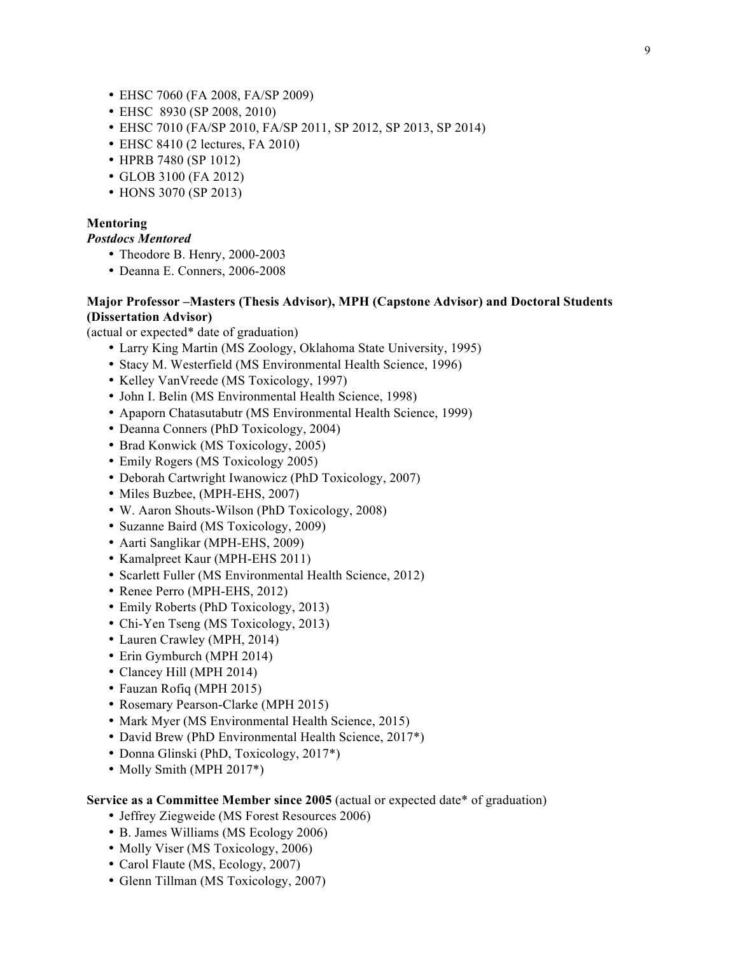- EHSC 7060 (FA 2008, FA/SP 2009)
- EHSC 8930 (SP 2008, 2010)
- EHSC 7010 (FA/SP 2010, FA/SP 2011, SP 2012, SP 2013, SP 2014)
- EHSC 8410 (2 lectures, FA 2010)
- HPRB 7480 (SP 1012)
- GLOB 3100 (FA 2012)
- HONS 3070 (SP 2013)

#### **Mentoring**

*Postdocs Mentored*

- Theodore B. Henry, 2000-2003
- Deanna E. Conners, 2006-2008

#### **Major Professor –Masters (Thesis Advisor), MPH (Capstone Advisor) and Doctoral Students (Dissertation Advisor)**

(actual or expected\* date of graduation)

- Larry King Martin (MS Zoology, Oklahoma State University, 1995)
- Stacy M. Westerfield (MS Environmental Health Science, 1996)
- Kelley VanVreede (MS Toxicology, 1997)
- John I. Belin (MS Environmental Health Science, 1998)
- Apaporn Chatasutabutr (MS Environmental Health Science, 1999)
- Deanna Conners (PhD Toxicology, 2004)
- Brad Konwick (MS Toxicology, 2005)
- Emily Rogers (MS Toxicology 2005)
- Deborah Cartwright Iwanowicz (PhD Toxicology, 2007)
- Miles Buzbee, (MPH-EHS, 2007)
- W. Aaron Shouts-Wilson (PhD Toxicology, 2008)
- Suzanne Baird (MS Toxicology, 2009)
- Aarti Sanglikar (MPH-EHS, 2009)
- Kamalpreet Kaur (MPH-EHS 2011)
- Scarlett Fuller (MS Environmental Health Science, 2012)
- Renee Perro (MPH-EHS, 2012)
- Emily Roberts (PhD Toxicology, 2013)
- Chi-Yen Tseng (MS Toxicology, 2013)
- Lauren Crawley (MPH, 2014)
- Erin Gymburch (MPH 2014)
- Clancey Hill (MPH 2014)
- Fauzan Rofiq (MPH 2015)
- Rosemary Pearson-Clarke (MPH 2015)
- Mark Myer (MS Environmental Health Science, 2015)
- David Brew (PhD Environmental Health Science, 2017\*)
- Donna Glinski (PhD, Toxicology, 2017\*)
- Molly Smith (MPH 2017\*)

#### **Service as a Committee Member since 2005** (actual or expected date\* of graduation)

- Jeffrey Ziegweide (MS Forest Resources 2006)
- B. James Williams (MS Ecology 2006)
- Molly Viser (MS Toxicology, 2006)
- Carol Flaute (MS, Ecology, 2007)
- Glenn Tillman (MS Toxicology, 2007)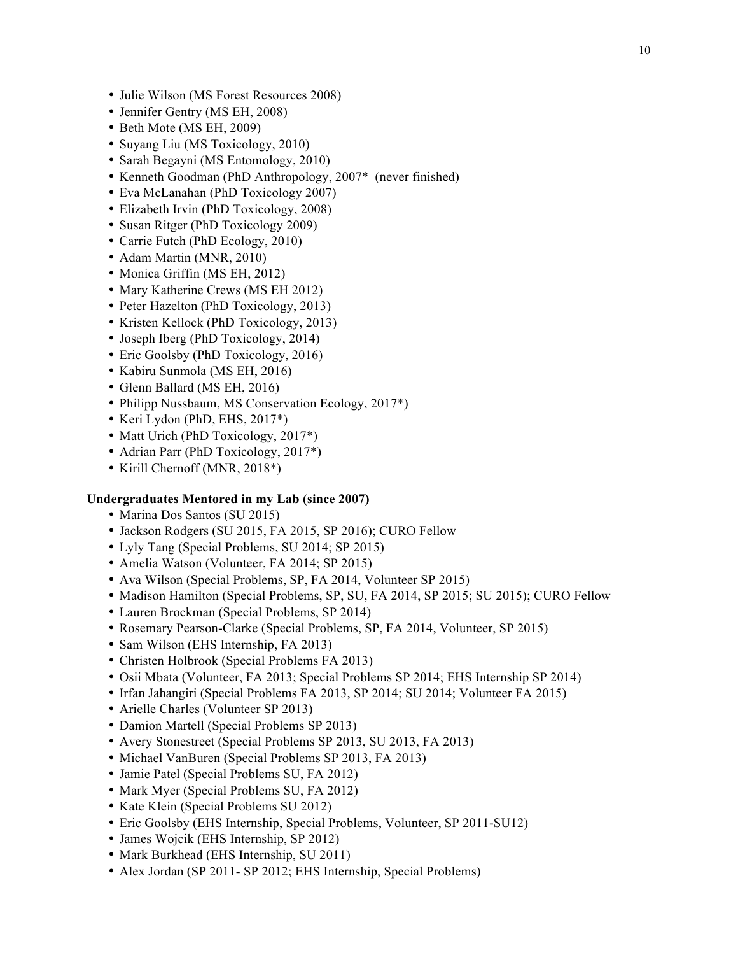- Julie Wilson (MS Forest Resources 2008)
- Jennifer Gentry (MS EH, 2008)
- Beth Mote (MS EH, 2009)
- Suyang Liu (MS Toxicology, 2010)
- Sarah Begayni (MS Entomology, 2010)
- Kenneth Goodman (PhD Anthropology, 2007\* (never finished)
- Eva McLanahan (PhD Toxicology 2007)
- Elizabeth Irvin (PhD Toxicology, 2008)
- Susan Ritger (PhD Toxicology 2009)
- Carrie Futch (PhD Ecology, 2010)
- Adam Martin (MNR, 2010)
- Monica Griffin (MS EH, 2012)
- Mary Katherine Crews (MS EH 2012)
- Peter Hazelton (PhD Toxicology, 2013)
- Kristen Kellock (PhD Toxicology, 2013)
- Joseph Iberg (PhD Toxicology, 2014)
- Eric Goolsby (PhD Toxicology, 2016)
- Kabiru Sunmola (MS EH, 2016)
- Glenn Ballard (MS EH, 2016)
- Philipp Nussbaum, MS Conservation Ecology, 2017\*)
- Keri Lydon (PhD, EHS, 2017\*)
- Matt Urich (PhD Toxicology, 2017<sup>\*</sup>)
- Adrian Parr (PhD Toxicology, 2017<sup>\*</sup>)
- Kirill Chernoff (MNR, 2018\*)

#### **Undergraduates Mentored in my Lab (since 2007)**

- Marina Dos Santos (SU 2015)
- Jackson Rodgers (SU 2015, FA 2015, SP 2016); CURO Fellow
- Lyly Tang (Special Problems, SU 2014; SP 2015)
- Amelia Watson (Volunteer, FA 2014; SP 2015)
- Ava Wilson (Special Problems, SP, FA 2014, Volunteer SP 2015)
- Madison Hamilton (Special Problems, SP, SU, FA 2014, SP 2015; SU 2015); CURO Fellow
- Lauren Brockman (Special Problems, SP 2014)
- Rosemary Pearson-Clarke (Special Problems, SP, FA 2014, Volunteer, SP 2015)
- Sam Wilson (EHS Internship, FA 2013)
- Christen Holbrook (Special Problems FA 2013)
- Osii Mbata (Volunteer, FA 2013; Special Problems SP 2014; EHS Internship SP 2014)
- Irfan Jahangiri (Special Problems FA 2013, SP 2014; SU 2014; Volunteer FA 2015)
- Arielle Charles (Volunteer SP 2013)
- Damion Martell (Special Problems SP 2013)
- Avery Stonestreet (Special Problems SP 2013, SU 2013, FA 2013)
- Michael VanBuren (Special Problems SP 2013, FA 2013)
- Jamie Patel (Special Problems SU, FA 2012)
- Mark Myer (Special Problems SU, FA 2012)
- Kate Klein (Special Problems SU 2012)
- Eric Goolsby (EHS Internship, Special Problems, Volunteer, SP 2011-SU12)
- James Wojcik (EHS Internship, SP 2012)
- Mark Burkhead (EHS Internship, SU 2011)
- Alex Jordan (SP 2011- SP 2012; EHS Internship, Special Problems)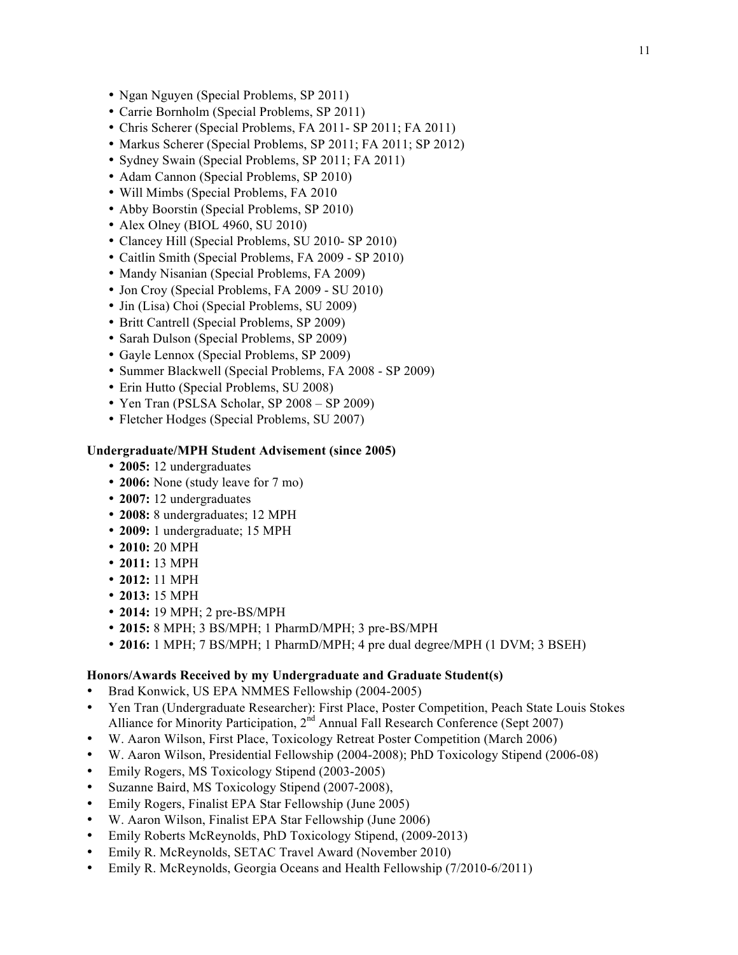- Ngan Nguyen (Special Problems, SP 2011)
- Carrie Bornholm (Special Problems, SP 2011)
- Chris Scherer (Special Problems, FA 2011- SP 2011; FA 2011)
- Markus Scherer (Special Problems, SP 2011; FA 2011; SP 2012)
- Sydney Swain (Special Problems, SP 2011; FA 2011)
- Adam Cannon (Special Problems, SP 2010)
- Will Mimbs (Special Problems, FA 2010
- Abby Boorstin (Special Problems, SP 2010)
- Alex Olney (BIOL 4960, SU 2010)
- Clancey Hill (Special Problems, SU 2010- SP 2010)
- Caitlin Smith (Special Problems, FA 2009 SP 2010)
- Mandy Nisanian (Special Problems, FA 2009)
- Jon Croy (Special Problems, FA 2009 SU 2010)
- Jin (Lisa) Choi (Special Problems, SU 2009)
- Britt Cantrell (Special Problems, SP 2009)
- Sarah Dulson (Special Problems, SP 2009)
- Gayle Lennox (Special Problems, SP 2009)
- Summer Blackwell (Special Problems, FA 2008 SP 2009)
- Erin Hutto (Special Problems, SU 2008)
- Yen Tran (PSLSA Scholar, SP 2008 SP 2009)
- Fletcher Hodges (Special Problems, SU 2007)

### **Undergraduate/MPH Student Advisement (since 2005)**

- **2005:** 12 undergraduates
- **2006:** None (study leave for 7 mo)
- **2007:** 12 undergraduates
- **2008:** 8 undergraduates; 12 MPH
- **2009:** 1 undergraduate; 15 MPH
- **2010:** 20 MPH
- **2011:** 13 MPH
- **2012:** 11 MPH
- **2013:** 15 MPH
- **2014:** 19 MPH; 2 pre-BS/MPH
- **2015:** 8 MPH; 3 BS/MPH; 1 PharmD/MPH; 3 pre-BS/MPH
- **2016:** 1 MPH; 7 BS/MPH; 1 PharmD/MPH; 4 pre dual degree/MPH (1 DVM; 3 BSEH)

#### **Honors/Awards Received by my Undergraduate and Graduate Student(s)**

- Brad Konwick, US EPA NMMES Fellowship (2004-2005)
- Yen Tran (Undergraduate Researcher): First Place, Poster Competition, Peach State Louis Stokes Alliance for Minority Participation, 2<sup>nd</sup> Annual Fall Research Conference (Sept 2007)
- W. Aaron Wilson, First Place, Toxicology Retreat Poster Competition (March 2006)
- W. Aaron Wilson, Presidential Fellowship (2004-2008); PhD Toxicology Stipend (2006-08)
- Emily Rogers, MS Toxicology Stipend (2003-2005)
- Suzanne Baird, MS Toxicology Stipend (2007-2008),
- Emily Rogers, Finalist EPA Star Fellowship (June 2005)
- W. Aaron Wilson, Finalist EPA Star Fellowship (June 2006)
- Emily Roberts McReynolds, PhD Toxicology Stipend, (2009-2013)
- Emily R. McReynolds, SETAC Travel Award (November 2010)
- Emily R. McReynolds, Georgia Oceans and Health Fellowship (7/2010-6/2011)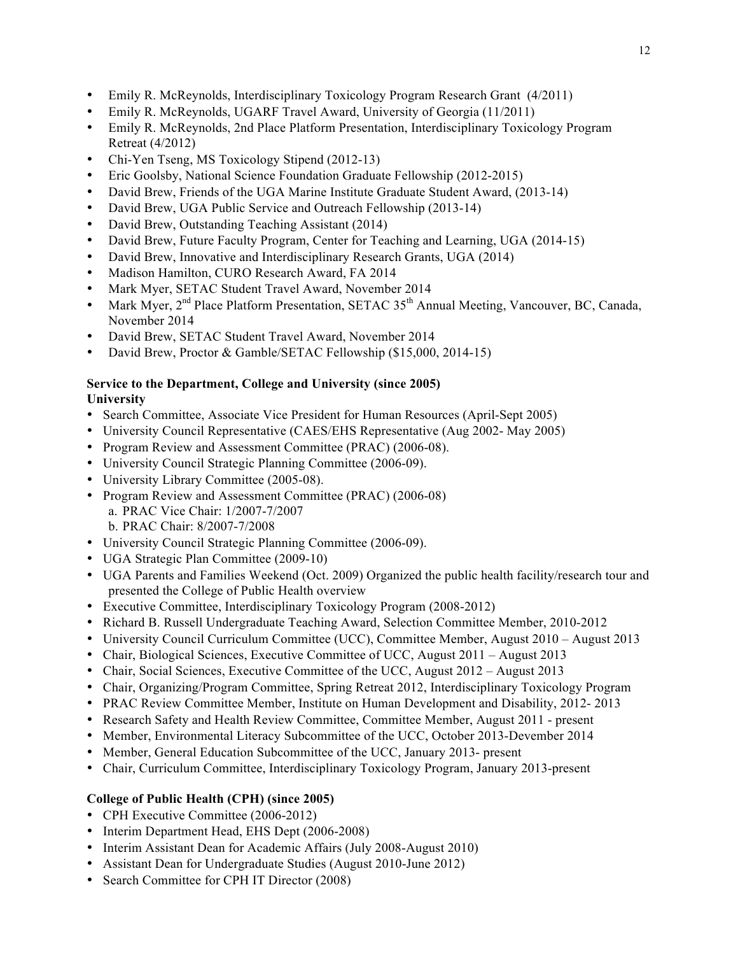- 12
- Emily R. McReynolds, Interdisciplinary Toxicology Program Research Grant (4/2011)
- Emily R. McReynolds, UGARF Travel Award, University of Georgia (11/2011)
- Emily R. McReynolds, 2nd Place Platform Presentation, Interdisciplinary Toxicology Program Retreat (4/2012)
- Chi-Yen Tseng, MS Toxicology Stipend (2012-13)
- Eric Goolsby, National Science Foundation Graduate Fellowship (2012-2015)
- David Brew, Friends of the UGA Marine Institute Graduate Student Award, (2013-14)
- David Brew, UGA Public Service and Outreach Fellowship (2013-14)
- David Brew, Outstanding Teaching Assistant (2014)
- David Brew, Future Faculty Program, Center for Teaching and Learning, UGA (2014-15)
- David Brew, Innovative and Interdisciplinary Research Grants, UGA (2014)
- Madison Hamilton, CURO Research Award, FA 2014
- Mark Myer, SETAC Student Travel Award, November 2014
- Mark Myer, 2<sup>nd</sup> Place Platform Presentation, SETAC 35<sup>th</sup> Annual Meeting, Vancouver, BC, Canada, November 2014
- David Brew, SETAC Student Travel Award, November 2014
- David Brew, Proctor & Gamble/SETAC Fellowship (\$15,000, 2014-15)

# **Service to the Department, College and University (since 2005)**

- **University**
- Search Committee, Associate Vice President for Human Resources (April-Sept 2005)
- University Council Representative (CAES/EHS Representative (Aug 2002- May 2005)
- Program Review and Assessment Committee (PRAC) (2006-08).
- University Council Strategic Planning Committee (2006-09).
- University Library Committee (2005-08).
- Program Review and Assessment Committee (PRAC) (2006-08) a. PRAC Vice Chair: 1/2007-7/2007 b. PRAC Chair: 8/2007-7/2008
- University Council Strategic Planning Committee (2006-09).
- UGA Strategic Plan Committee (2009-10)
- UGA Parents and Families Weekend (Oct. 2009) Organized the public health facility/research tour and presented the College of Public Health overview
- Executive Committee, Interdisciplinary Toxicology Program (2008-2012)
- Richard B. Russell Undergraduate Teaching Award, Selection Committee Member, 2010-2012
- University Council Curriculum Committee (UCC), Committee Member, August 2010 August 2013
- Chair, Biological Sciences, Executive Committee of UCC, August 2011 August 2013
- Chair, Social Sciences, Executive Committee of the UCC, August 2012 August 2013
- Chair, Organizing/Program Committee, Spring Retreat 2012, Interdisciplinary Toxicology Program
- PRAC Review Committee Member, Institute on Human Development and Disability, 2012-2013
- Research Safety and Health Review Committee, Committee Member, August 2011 present
- Member, Environmental Literacy Subcommittee of the UCC, October 2013-Devember 2014
- Member, General Education Subcommittee of the UCC, January 2013- present
- Chair, Curriculum Committee, Interdisciplinary Toxicology Program, January 2013-present

# **College of Public Health (CPH) (since 2005)**

- CPH Executive Committee (2006-2012)
- Interim Department Head, EHS Dept (2006-2008)
- Interim Assistant Dean for Academic Affairs (July 2008-August 2010)
- Assistant Dean for Undergraduate Studies (August 2010-June 2012)
- Search Committee for CPH IT Director (2008)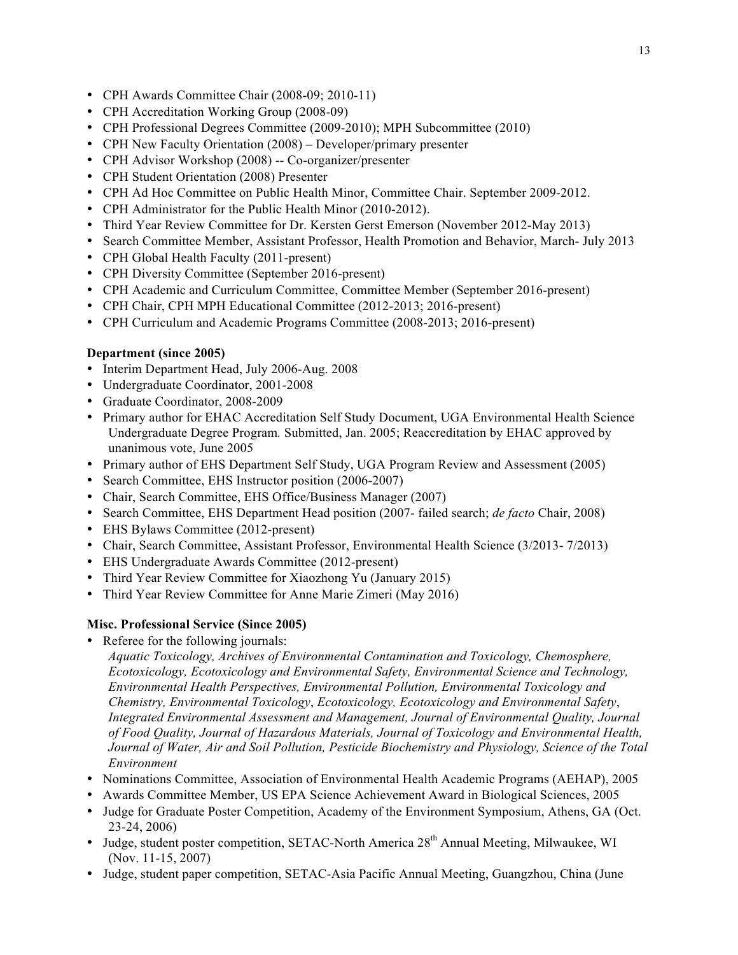- CPH Awards Committee Chair (2008-09; 2010-11)
- CPH Accreditation Working Group (2008-09)
- CPH Professional Degrees Committee (2009-2010); MPH Subcommittee (2010)
- CPH New Faculty Orientation (2008) Developer/primary presenter
- CPH Advisor Workshop (2008) -- Co-organizer/presenter
- CPH Student Orientation (2008) Presenter
- CPH Ad Hoc Committee on Public Health Minor, Committee Chair. September 2009-2012.
- CPH Administrator for the Public Health Minor (2010-2012).
- Third Year Review Committee for Dr. Kersten Gerst Emerson (November 2012-May 2013)
- Search Committee Member, Assistant Professor, Health Promotion and Behavior, March- July 2013
- CPH Global Health Faculty (2011-present)
- CPH Diversity Committee (September 2016-present)
- CPH Academic and Curriculum Committee, Committee Member (September 2016-present)
- CPH Chair, CPH MPH Educational Committee (2012-2013; 2016-present)
- CPH Curriculum and Academic Programs Committee (2008-2013; 2016-present)

## **Department (since 2005)**

- Interim Department Head, July 2006-Aug. 2008
- Undergraduate Coordinator, 2001-2008
- Graduate Coordinator, 2008-2009
- Primary author for EHAC Accreditation Self Study Document, UGA Environmental Health Science Undergraduate Degree Program*.* Submitted, Jan. 2005; Reaccreditation by EHAC approved by unanimous vote, June 2005
- Primary author of EHS Department Self Study, UGA Program Review and Assessment (2005)
- Search Committee, EHS Instructor position (2006-2007)
- Chair, Search Committee, EHS Office/Business Manager (2007)
- Search Committee, EHS Department Head position (2007- failed search; *de facto* Chair, 2008)
- EHS Bylaws Committee (2012-present)
- Chair, Search Committee, Assistant Professor, Environmental Health Science (3/2013- 7/2013)
- EHS Undergraduate Awards Committee (2012-present)
- Third Year Review Committee for Xiaozhong Yu (January 2015)
- Third Year Review Committee for Anne Marie Zimeri (May 2016)

# **Misc. Professional Service (Since 2005)**

• Referee for the following journals:

*Aquatic Toxicology, Archives of Environmental Contamination and Toxicology, Chemosphere, Ecotoxicology, Ecotoxicology and Environmental Safety, Environmental Science and Technology, Environmental Health Perspectives, Environmental Pollution, Environmental Toxicology and Chemistry, Environmental Toxicology*, *Ecotoxicology, Ecotoxicology and Environmental Safety*, *Integrated Environmental Assessment and Management, Journal of Environmental Quality, Journal of Food Quality, Journal of Hazardous Materials, Journal of Toxicology and Environmental Health, Journal of Water, Air and Soil Pollution, Pesticide Biochemistry and Physiology, Science of the Total Environment* 

- Nominations Committee, Association of Environmental Health Academic Programs (AEHAP), 2005
- Awards Committee Member, US EPA Science Achievement Award in Biological Sciences, 2005
- Judge for Graduate Poster Competition, Academy of the Environment Symposium, Athens, GA (Oct. 23-24, 2006)
- Judge, student poster competition, SETAC-North America  $28<sup>th</sup>$  Annual Meeting, Milwaukee, WI (Nov. 11-15, 2007)
- Judge, student paper competition, SETAC-Asia Pacific Annual Meeting, Guangzhou, China (June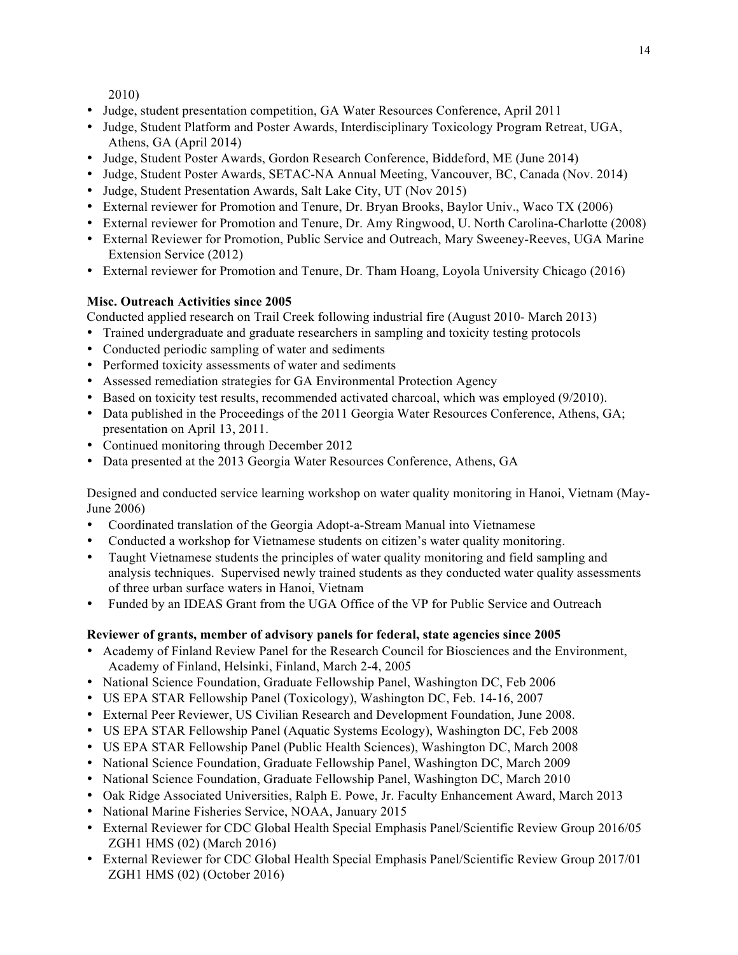2010)

- Judge, student presentation competition, GA Water Resources Conference, April 2011
- Judge, Student Platform and Poster Awards, Interdisciplinary Toxicology Program Retreat, UGA, Athens, GA (April 2014)
- Judge, Student Poster Awards, Gordon Research Conference, Biddeford, ME (June 2014)
- Judge, Student Poster Awards, SETAC-NA Annual Meeting, Vancouver, BC, Canada (Nov. 2014)
- Judge, Student Presentation Awards, Salt Lake City, UT (Nov 2015)
- External reviewer for Promotion and Tenure, Dr. Bryan Brooks, Baylor Univ., Waco TX (2006)
- External reviewer for Promotion and Tenure, Dr. Amy Ringwood, U. North Carolina-Charlotte (2008)
- External Reviewer for Promotion, Public Service and Outreach, Mary Sweeney-Reeves, UGA Marine Extension Service (2012)
- External reviewer for Promotion and Tenure, Dr. Tham Hoang, Loyola University Chicago (2016)

# **Misc. Outreach Activities since 2005**

Conducted applied research on Trail Creek following industrial fire (August 2010- March 2013)

- Trained undergraduate and graduate researchers in sampling and toxicity testing protocols
- Conducted periodic sampling of water and sediments
- Performed toxicity assessments of water and sediments
- Assessed remediation strategies for GA Environmental Protection Agency
- Based on toxicity test results, recommended activated charcoal, which was employed (9/2010).
- Data published in the Proceedings of the 2011 Georgia Water Resources Conference, Athens, GA; presentation on April 13, 2011.
- Continued monitoring through December 2012
- Data presented at the 2013 Georgia Water Resources Conference, Athens, GA

Designed and conducted service learning workshop on water quality monitoring in Hanoi, Vietnam (May-June 2006)

- Coordinated translation of the Georgia Adopt-a-Stream Manual into Vietnamese
- Conducted a workshop for Vietnamese students on citizen's water quality monitoring.
- Taught Vietnamese students the principles of water quality monitoring and field sampling and analysis techniques. Supervised newly trained students as they conducted water quality assessments of three urban surface waters in Hanoi, Vietnam
- Funded by an IDEAS Grant from the UGA Office of the VP for Public Service and Outreach

## **Reviewer of grants, member of advisory panels for federal, state agencies since 2005**

- Academy of Finland Review Panel for the Research Council for Biosciences and the Environment, Academy of Finland, Helsinki, Finland, March 2-4, 2005
- National Science Foundation, Graduate Fellowship Panel, Washington DC, Feb 2006
- US EPA STAR Fellowship Panel (Toxicology), Washington DC, Feb. 14-16, 2007
- External Peer Reviewer, US Civilian Research and Development Foundation, June 2008.
- US EPA STAR Fellowship Panel (Aquatic Systems Ecology), Washington DC, Feb 2008
- US EPA STAR Fellowship Panel (Public Health Sciences), Washington DC, March 2008
- National Science Foundation, Graduate Fellowship Panel, Washington DC, March 2009
- National Science Foundation, Graduate Fellowship Panel, Washington DC, March 2010
- Oak Ridge Associated Universities, Ralph E. Powe, Jr. Faculty Enhancement Award, March 2013
- National Marine Fisheries Service, NOAA, January 2015
- External Reviewer for CDC Global Health Special Emphasis Panel/Scientific Review Group 2016/05 ZGH1 HMS (02) (March 2016)
- External Reviewer for CDC Global Health Special Emphasis Panel/Scientific Review Group 2017/01 ZGH1 HMS (02) (October 2016)